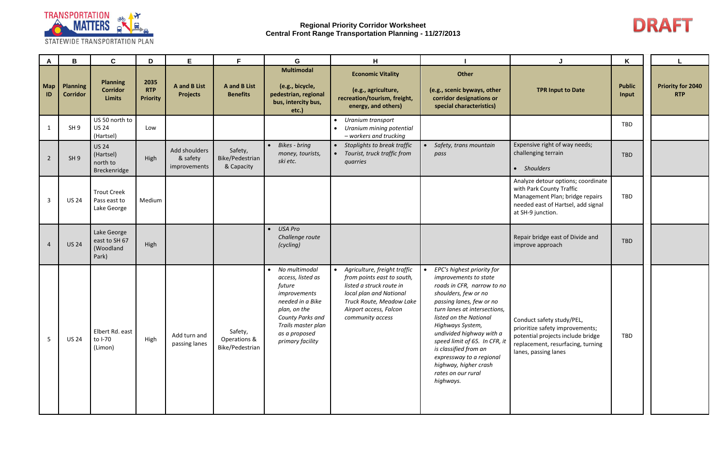

| A         | B                                  | $\mathbf C$                                           | D                                     | E.                                        | F                                             | G                                                                                                                                                                                            | H                                                                                                                                                                                           |                                                                                                                                                                                                                                                                                                                                                                                                   |                                                                                                                                                                | K                      |                                        |
|-----------|------------------------------------|-------------------------------------------------------|---------------------------------------|-------------------------------------------|-----------------------------------------------|----------------------------------------------------------------------------------------------------------------------------------------------------------------------------------------------|---------------------------------------------------------------------------------------------------------------------------------------------------------------------------------------------|---------------------------------------------------------------------------------------------------------------------------------------------------------------------------------------------------------------------------------------------------------------------------------------------------------------------------------------------------------------------------------------------------|----------------------------------------------------------------------------------------------------------------------------------------------------------------|------------------------|----------------------------------------|
| Map<br>ID | <b>Planning</b><br><b>Corridor</b> | <b>Planning</b><br><b>Corridor</b><br>Limits          | 2035<br><b>RTP</b><br><b>Priority</b> | A and B List<br><b>Projects</b>           | <b>A</b> and <b>B</b> List<br><b>Benefits</b> | <b>Multimodal</b><br>(e.g., bicycle,<br>pedestrian, regional<br>bus, intercity bus,<br>etc.)                                                                                                 | <b>Economic Vitality</b><br>(e.g., agriculture,<br>recreation/tourism, freight,<br>energy, and others)                                                                                      | Other<br>(e.g., scenic byways, other<br>corridor designations or<br>special characteristics)                                                                                                                                                                                                                                                                                                      | <b>TPR Input to Date</b>                                                                                                                                       | <b>Public</b><br>Input | <b>Priority for 2040</b><br><b>RTP</b> |
|           | SH <sub>9</sub>                    | US 50 north to<br><b>US 24</b><br>(Hartsel)           | Low                                   |                                           |                                               |                                                                                                                                                                                              | Uranium transport<br>Uranium mining potential<br>- workers and trucking                                                                                                                     |                                                                                                                                                                                                                                                                                                                                                                                                   |                                                                                                                                                                | TBD                    |                                        |
| 2         | SH <sub>9</sub>                    | <b>US 24</b><br>(Hartsel)<br>north to<br>Breckenridge | High                                  | Add shoulders<br>& safety<br>improvements | Safety,<br>Bike/Pedestrian<br>& Capacity      | <b>Bikes</b> - bring<br>$\bullet$<br>money, tourists,<br>ski etc.                                                                                                                            | Stoplights to break traffic<br>Tourist, truck traffic from<br>quarries                                                                                                                      | Safety, trans mountain<br>pass                                                                                                                                                                                                                                                                                                                                                                    | Expensive right of way needs;<br>challenging terrain<br>• Shoulders                                                                                            | TBD                    |                                        |
| 3         | <b>US 24</b>                       | <b>Trout Creek</b><br>Pass east to<br>Lake George     | Medium                                |                                           |                                               |                                                                                                                                                                                              |                                                                                                                                                                                             |                                                                                                                                                                                                                                                                                                                                                                                                   | Analyze detour options; coordinate<br>with Park County Traffic<br>Management Plan; bridge repairs<br>needed east of Hartsel, add signal<br>at SH-9 junction.   | TBD                    |                                        |
|           | <b>US 24</b>                       | Lake George<br>east to SH 67<br>(Woodland<br>Park)    | High                                  |                                           |                                               | <b>USA Pro</b><br>Challenge route<br>(cycling)                                                                                                                                               |                                                                                                                                                                                             |                                                                                                                                                                                                                                                                                                                                                                                                   | Repair bridge east of Divide and<br>improve approach                                                                                                           | TBD                    |                                        |
| 5         | <b>US 24</b>                       | Elbert Rd. east<br>to I-70<br>(Limon)                 | High                                  | Add turn and<br>passing lanes             | Safety,<br>Operations &<br>Bike/Pedestrian    | No multimodal<br>$\bullet$<br>access, listed as<br>future<br>improvements<br>needed in a Bike<br>plan, on the<br>County Parks and<br>Trails master plan<br>as a proposed<br>primary facility | Agriculture, freight traffic<br>from points east to south,<br>listed a struck route in<br>local plan and National<br>Truck Route, Meadow Lake<br>Airport access, Falcon<br>community access | EPC's highest priority for<br>improvements to state<br>roads in CFR, narrow to no<br>shoulders, few or no<br>passing lanes, few or no<br>turn lanes at intersections,<br>listed on the National<br>Highways System,<br>undivided highway with a<br>speed limit of 65. In CFR, it<br>is classified from an<br>expressway to a regional<br>highway, higher crash<br>rates on our rural<br>highways. | Conduct safety study/PEL,<br>prioritize safety improvements;<br>potential projects include bridge<br>replacement, resurfacing, turning<br>lanes, passing lanes | TBD                    |                                        |

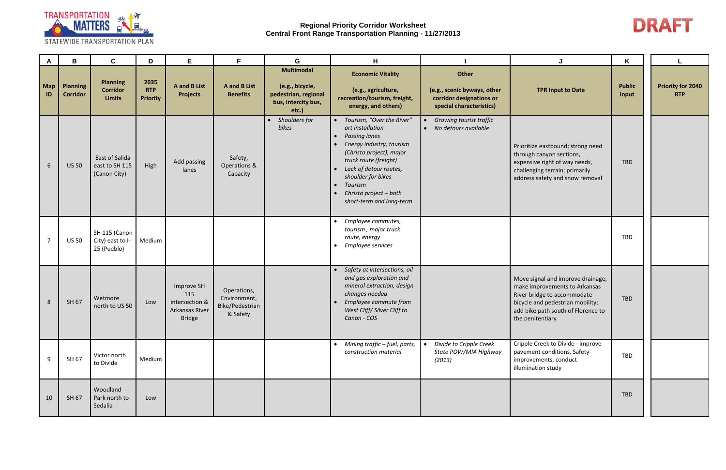

| A         | B                                  | $\mathbf{C}$                                     | D                                     | E                                                                      | F.                                                         | G                                                                                            | H                                                                                                                                                                                                                                                                         |                                                                                              | J                                                                                                                                                                                               | K                      |                                        |
|-----------|------------------------------------|--------------------------------------------------|---------------------------------------|------------------------------------------------------------------------|------------------------------------------------------------|----------------------------------------------------------------------------------------------|---------------------------------------------------------------------------------------------------------------------------------------------------------------------------------------------------------------------------------------------------------------------------|----------------------------------------------------------------------------------------------|-------------------------------------------------------------------------------------------------------------------------------------------------------------------------------------------------|------------------------|----------------------------------------|
| Map<br>ID | <b>Planning</b><br><b>Corridor</b> | <b>Planning</b><br><b>Corridor</b><br>Limits     | 2035<br><b>RTP</b><br><b>Priority</b> | <b>A</b> and <b>B</b> List<br><b>Projects</b>                          | <b>A</b> and <b>B</b> List<br><b>Benefits</b>              | <b>Multimodal</b><br>(e.g., bicycle,<br>pedestrian, regional<br>bus, intercity bus,<br>etc.) | <b>Economic Vitality</b><br>(e.g., agriculture,<br>recreation/tourism, freight,<br>energy, and others)                                                                                                                                                                    | Other<br>(e.g., scenic byways, other<br>corridor designations or<br>special characteristics) | <b>TPR Input to Date</b>                                                                                                                                                                        | <b>Public</b><br>Input | <b>Priority for 2040</b><br><b>RTP</b> |
| 6         | <b>US 50</b>                       | East of Salida<br>east to SH 115<br>(Canon City) | High                                  | Add passing<br>lanes                                                   | Safety,<br>Operations &<br>Capacity                        | Shoulders for<br>bikes                                                                       | • Tourism, "Over the River"<br>art installation<br><b>Passing lanes</b><br>Energy industry, tourism<br>(Christo project), major<br>truck route (freight)<br>Lack of detour routes,<br>shoulder for bikes<br>Tourism<br>Christo project - both<br>short-term and long-term | Growing tourist traffic<br>• No detours available                                            | Prioritize eastbound; strong need<br>through canyon sections,<br>expensive right of way needs,<br>challenging terrain; primarily<br>address safety and snow removal                             | <b>TBD</b>             |                                        |
|           | <b>US 50</b>                       | SH 115 (Canon<br>City) east to I-<br>25 (Pueblo) | Medium                                |                                                                        |                                                            |                                                                                              | Employee commutes,<br>tourism, major truck<br>route, energy<br>Employee services                                                                                                                                                                                          |                                                                                              |                                                                                                                                                                                                 | TBD                    |                                        |
| 8         | SH 67                              | Wetmore<br>north to US 50                        | Low                                   | Improve SH<br>115<br>intersection &<br>Arkansas River<br><b>Bridge</b> | Operations,<br>Environment,<br>Bike/Pedestrian<br>& Safety |                                                                                              | Safety at intersections, oil<br>and gas exploration and<br>mineral extraction, design<br>changes needed<br>Employee commute from<br>West Cliff/ Silver Cliff to<br>Canon - COS                                                                                            |                                                                                              | Move signal and improve drainage;<br>make improvements to Arkansas<br>River bridge to accommodate<br>bicycle and pedestrian mobility;<br>add bike path south of Florence to<br>the penitentiary | TBD                    |                                        |
| 9         | SH 67                              | Victor north<br>to Divide                        | Medium                                |                                                                        |                                                            |                                                                                              | • Mining traffic - fuel, parts,<br>construction material                                                                                                                                                                                                                  | Divide to Cripple Creek<br>$\bullet$<br>State POW/MIA Highway<br>(2013)                      | Cripple Creek to Divide - improve<br>pavement conditions, Safety<br>improvements, conduct<br>illumination study                                                                                 | TBD                    |                                        |
| 10        | SH 67                              | Woodland<br>Park north to<br>Sedalia             | Low                                   |                                                                        |                                                            |                                                                                              |                                                                                                                                                                                                                                                                           |                                                                                              |                                                                                                                                                                                                 | TBD                    |                                        |

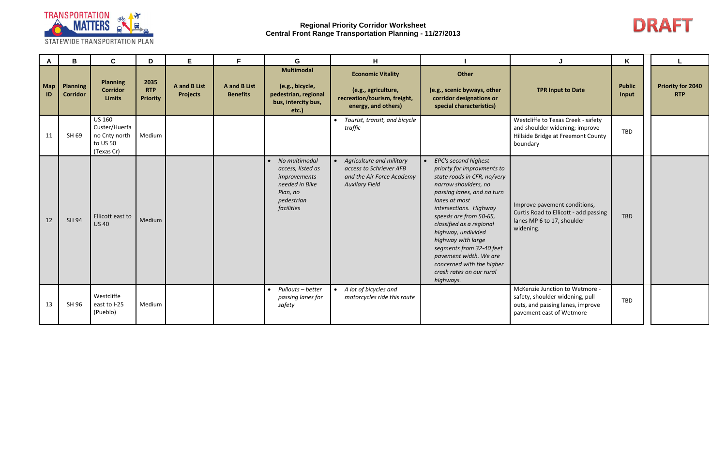

| $\mathsf{A}$ | B                                  | $\mathbf C$                                                               | D                                     | E                                             | F                                             | G                                                                                                            | H                                                                                                           |                                                                                                                                                                                                                                                                                                                                                                                                                               |                                                                                                                                   | $\mathsf{K}$           |                                        |
|--------------|------------------------------------|---------------------------------------------------------------------------|---------------------------------------|-----------------------------------------------|-----------------------------------------------|--------------------------------------------------------------------------------------------------------------|-------------------------------------------------------------------------------------------------------------|-------------------------------------------------------------------------------------------------------------------------------------------------------------------------------------------------------------------------------------------------------------------------------------------------------------------------------------------------------------------------------------------------------------------------------|-----------------------------------------------------------------------------------------------------------------------------------|------------------------|----------------------------------------|
| Map<br>ID    | <b>Planning</b><br><b>Corridor</b> | Planning<br><b>Corridor</b><br><b>Limits</b>                              | 2035<br><b>RTP</b><br><b>Priority</b> | <b>A</b> and <b>B</b> List<br><b>Projects</b> | <b>A</b> and <b>B</b> List<br><b>Benefits</b> | <b>Multimodal</b><br>(e.g., bicycle,<br>pedestrian, regional<br>bus, intercity bus,<br>etc.)                 | <b>Economic Vitality</b><br>(e.g., agriculture,<br>recreation/tourism, freight,<br>energy, and others)      | Other<br>(e.g., scenic byways, other<br>corridor designations or<br>special characteristics)                                                                                                                                                                                                                                                                                                                                  | <b>TPR Input to Date</b>                                                                                                          | <b>Public</b><br>Input | <b>Priority for 2040</b><br><b>RTP</b> |
| 11           | SH 69                              | <b>US 160</b><br>Custer/Huerfa<br>no Cnty north<br>to US 50<br>(Texas Cr) | Medium                                |                                               |                                               |                                                                                                              | Tourist, transit, and bicycle<br>traffic                                                                    |                                                                                                                                                                                                                                                                                                                                                                                                                               | Westcliffe to Texas Creek - safety<br>and shoulder widening; improve<br>Hillside Bridge at Freemont County<br>boundary            | TBD                    |                                        |
| 12           | <b>SH 94</b>                       | Ellicott east to<br><b>US40</b>                                           | Medium                                |                                               |                                               | No multimodal<br>access, listed as<br>improvements<br>needed in Bike<br>Plan, no<br>pedestrian<br>facilities | • Agriculture and military<br>access to Schriever AFB<br>and the Air Force Academy<br><b>Auxilary Field</b> | EPC's second highest<br>$\bullet$<br>priorty for improvments to<br>state roads in CFR, no/very<br>narrow shoulders, no<br>passing lanes, and no turn<br>lanes at most<br>intersections. Highway<br>speeds are from 50-65,<br>classified as a regional<br>highway, undivided<br>highway with large<br>segments from 32-40 feet<br>pavement width. We are<br>concerned with the higher<br>crash rates on our rural<br>highways. | Improve pavement conditions,<br>Curtis Road to Ellicott - add passing<br>lanes MP 6 to 17, shoulder<br>widening.                  | <b>TBD</b>             |                                        |
| 13           | SH 96                              | Westcliffe<br>east to I-25<br>(Pueblo)                                    | Medium                                |                                               |                                               | Pullouts - better<br>passing lanes for<br>safety                                                             | A lot of bicycles and<br>motorcycles ride this route                                                        |                                                                                                                                                                                                                                                                                                                                                                                                                               | McKenzie Junction to Wetmore -<br>safety, shoulder widening, pull<br>outs, and passing lanes, improve<br>pavement east of Wetmore | TBD                    |                                        |

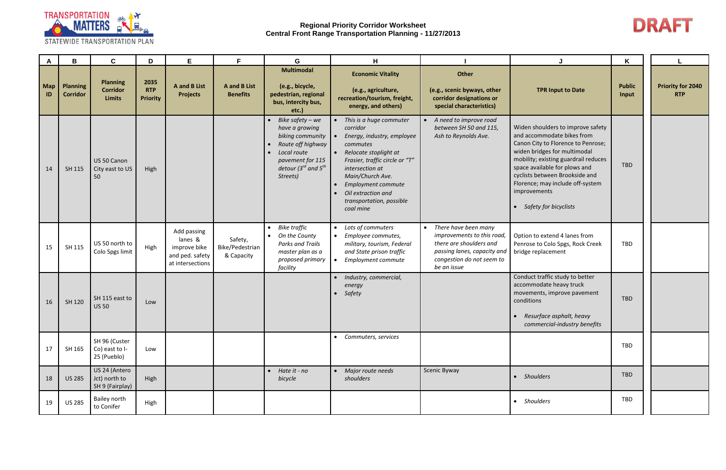

| A         | В                                  | $\mathbf C$                                         | D                                     | E                                                                             | F                                             | G                                                                                                                                                               | H                                                                                                                                                                                                                                                                        |                                                                                                                                                            |                                                                                                                                                                                                                                                                                                                                 | K                      |                                        |
|-----------|------------------------------------|-----------------------------------------------------|---------------------------------------|-------------------------------------------------------------------------------|-----------------------------------------------|-----------------------------------------------------------------------------------------------------------------------------------------------------------------|--------------------------------------------------------------------------------------------------------------------------------------------------------------------------------------------------------------------------------------------------------------------------|------------------------------------------------------------------------------------------------------------------------------------------------------------|---------------------------------------------------------------------------------------------------------------------------------------------------------------------------------------------------------------------------------------------------------------------------------------------------------------------------------|------------------------|----------------------------------------|
| Map<br>ID | <b>Planning</b><br><b>Corridor</b> | <b>Planning</b><br><b>Corridor</b><br><b>Limits</b> | 2035<br><b>RTP</b><br><b>Priority</b> | <b>A</b> and <b>B</b> List<br><b>Projects</b>                                 | <b>A</b> and <b>B</b> List<br><b>Benefits</b> | <b>Multimodal</b><br>(e.g., bicycle,<br>pedestrian, regional<br>bus, intercity bus,<br>etc.                                                                     | <b>Economic Vitality</b><br>(e.g., agriculture,<br>recreation/tourism, freight,<br>energy, and others)                                                                                                                                                                   | Other<br>(e.g., scenic byways, other<br>corridor designations or<br>special characteristics)                                                               | <b>TPR Input to Date</b>                                                                                                                                                                                                                                                                                                        | <b>Public</b><br>Input | <b>Priority for 2040</b><br><b>RTP</b> |
| 14        | SH 115                             | US 50 Canon<br>City east to US<br>50                | High                                  |                                                                               |                                               | Bike safety - we<br>have a growing<br>biking community<br>Route off highway<br>Local route<br>pavement for 115<br>detour (3 $^{rd}$ and 5 $^{th}$ )<br>Streets) | • This is a huge commuter<br>corridor<br>Energy, industry, employee<br>commutes<br>• Relocate stoplight at<br>Frasier, traffic circle or "T"<br>intersection at<br>Main/Church Ave.<br>Employment commute<br>Oil extraction and<br>transportation, possible<br>coal mine | • A need to improve road<br>between SH 50 and 115,<br>Ash to Reynolds Ave.                                                                                 | Widen shoulders to improve safety<br>and accommodate bikes from<br>Canon City to Florence to Penrose;<br>widen bridges for multimodal<br>mobility; existing guardrail reduces<br>space available for plows and<br>cyclists between Brookside and<br>Florence; may include off-system<br>improvements<br>• Safety for bicyclists | <b>TBD</b>             |                                        |
| 15        | SH 115                             | US 50 north to<br>Colo Spgs limit                   | High                                  | Add passing<br>lanes &<br>improve bike<br>and ped. safety<br>at intersections | Safety,<br>Bike/Pedestrian<br>& Capacity      | <b>Bike traffic</b><br>On the County<br>$\bullet$<br><b>Parks and Trails</b><br>master plan as a<br>proposed primary<br>facility                                | • Lots of commuters<br>Employee commutes,<br>military, tourism, Federal<br>and State prison traffic<br>Employment commute                                                                                                                                                | • There have been many<br>improvements to this road,<br>there are shoulders and<br>passing lanes, capacity and<br>congestion do not seem to<br>be an issue | Option to extend 4 lanes from<br>Penrose to Colo Spgs, Rock Creek<br>bridge replacement                                                                                                                                                                                                                                         | TBD                    |                                        |
| 16        | SH 120                             | SH 115 east to<br><b>US 50</b>                      | Low                                   |                                                                               |                                               |                                                                                                                                                                 | • Industry, commercial,<br>energy<br>Safety<br>$\bullet$                                                                                                                                                                                                                 |                                                                                                                                                            | Conduct traffic study to better<br>accommodate heavy truck<br>movements, improve pavement<br>conditions<br>• Resurface asphalt, heavy<br>commercial-industry benefits                                                                                                                                                           | TBD                    |                                        |
| 17        | SH 165                             | SH 96 (Custer<br>Co) east to I-<br>25 (Pueblo)      | Low                                   |                                                                               |                                               |                                                                                                                                                                 | • Commuters, services                                                                                                                                                                                                                                                    |                                                                                                                                                            |                                                                                                                                                                                                                                                                                                                                 | TBD                    |                                        |
| 18        | <b>US 285</b>                      | US 24 (Antero<br>Jct) north to<br>SH 9 (Fairplay)   | High                                  |                                                                               |                                               | Hate it - no<br>bicycle                                                                                                                                         | • Major route needs<br>shoulders                                                                                                                                                                                                                                         | Scenic Byway                                                                                                                                               | • Shoulders                                                                                                                                                                                                                                                                                                                     | TBD                    |                                        |
| 19        | <b>US 285</b>                      | Bailey north<br>to Conifer                          | High                                  |                                                                               |                                               |                                                                                                                                                                 |                                                                                                                                                                                                                                                                          |                                                                                                                                                            | • Shoulders                                                                                                                                                                                                                                                                                                                     | TBD                    |                                        |

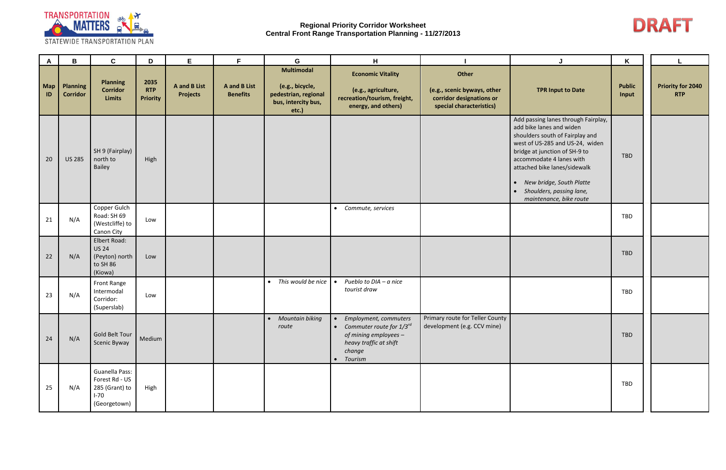

| $\mathsf{A}$ | B                                  | $\mathbf c$                                                                         | D                                     | E                                             | F.                                            | G                                                                                            | H                                                                                                                                    |                                                                                              | J                                                                                                                                                                                                                                                                                                                                               | K                      |                                        |
|--------------|------------------------------------|-------------------------------------------------------------------------------------|---------------------------------------|-----------------------------------------------|-----------------------------------------------|----------------------------------------------------------------------------------------------|--------------------------------------------------------------------------------------------------------------------------------------|----------------------------------------------------------------------------------------------|-------------------------------------------------------------------------------------------------------------------------------------------------------------------------------------------------------------------------------------------------------------------------------------------------------------------------------------------------|------------------------|----------------------------------------|
| Map<br>ID    | <b>Planning</b><br><b>Corridor</b> | <b>Planning</b><br><b>Corridor</b><br><b>Limits</b>                                 | 2035<br><b>RTP</b><br><b>Priority</b> | <b>A</b> and <b>B</b> List<br><b>Projects</b> | <b>A</b> and <b>B</b> List<br><b>Benefits</b> | <b>Multimodal</b><br>(e.g., bicycle,<br>pedestrian, regional<br>bus, intercity bus,<br>etc.) | <b>Economic Vitality</b><br>(e.g., agriculture,<br>recreation/tourism, freight,<br>energy, and others)                               | Other<br>(e.g., scenic byways, other<br>corridor designations or<br>special characteristics) | <b>TPR Input to Date</b>                                                                                                                                                                                                                                                                                                                        | <b>Public</b><br>Input | <b>Priority for 2040</b><br><b>RTP</b> |
| 20           | <b>US 285</b>                      | SH 9 (Fairplay)<br>north to<br>Bailey                                               | High                                  |                                               |                                               |                                                                                              |                                                                                                                                      |                                                                                              | Add passing lanes through Fairplay,<br>add bike lanes and widen<br>shoulders south of Fairplay and<br>west of US-285 and US-24, widen<br>bridge at junction of SH-9 to<br>accommodate 4 lanes with<br>attached bike lanes/sidewalk<br>New bridge, South Platte<br>$\bullet$<br>Shoulders, passing lane,<br>$\bullet$<br>maintenance, bike route | TBD                    |                                        |
| 21           | N/A                                | Copper Gulch<br>Road: SH 69<br>(Westcliffe) to<br>Canon City                        | Low                                   |                                               |                                               |                                                                                              | • Commute, services                                                                                                                  |                                                                                              |                                                                                                                                                                                                                                                                                                                                                 | TBD                    |                                        |
| 22           | N/A                                | Elbert Road:<br><b>US 24</b><br>(Peyton) north<br>to SH 86<br>(Kiowa)               | Low                                   |                                               |                                               |                                                                                              |                                                                                                                                      |                                                                                              |                                                                                                                                                                                                                                                                                                                                                 | <b>TBD</b>             |                                        |
| 23           | N/A                                | Front Range<br>Intermodal<br>Corridor:<br>(Superslab)                               | Low                                   |                                               |                                               | This would be nice                                                                           | Pueblo to DIA - a nice<br>$\bullet$<br>tourist draw                                                                                  |                                                                                              |                                                                                                                                                                                                                                                                                                                                                 | TBD                    |                                        |
| 24           | N/A                                | Gold Belt Tour<br>Scenic Byway                                                      | Medium                                |                                               |                                               | Mountain biking<br>route                                                                     | • Employment, commuters<br>• Commuter route for $1/3^{rd}$<br>of mining employees -<br>heavy traffic at shift<br>change<br>• Tourism | Primary route for Teller County<br>development (e.g. CCV mine)                               |                                                                                                                                                                                                                                                                                                                                                 | TBD                    |                                        |
| 25           | N/A                                | <b>Guanella Pass:</b><br>Forest Rd - US<br>285 (Grant) to<br>$I-70$<br>(Georgetown) | High                                  |                                               |                                               |                                                                                              |                                                                                                                                      |                                                                                              |                                                                                                                                                                                                                                                                                                                                                 | TBD                    |                                        |